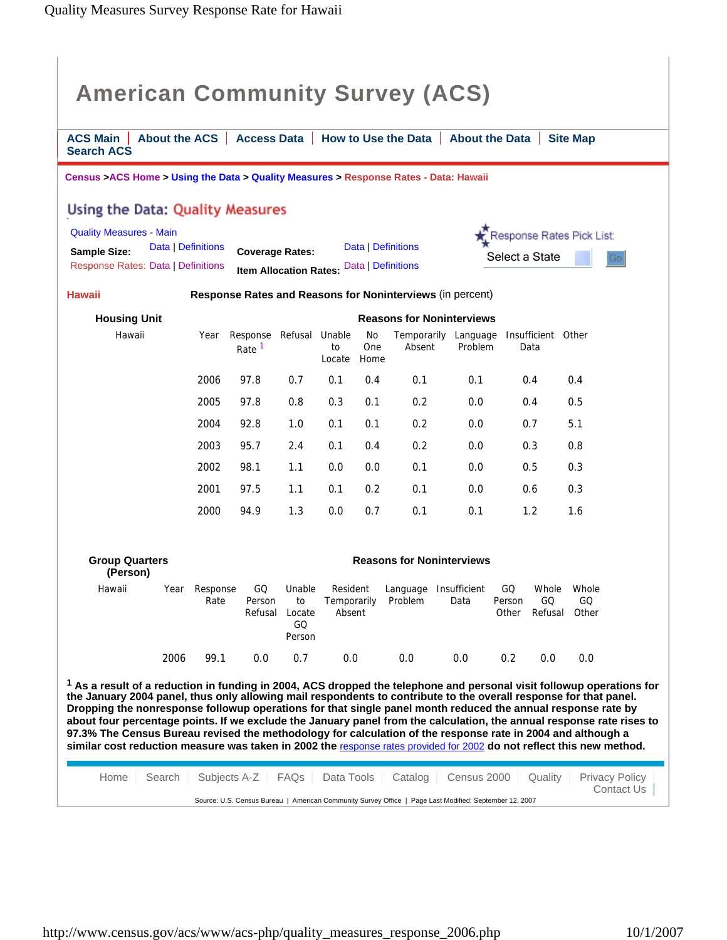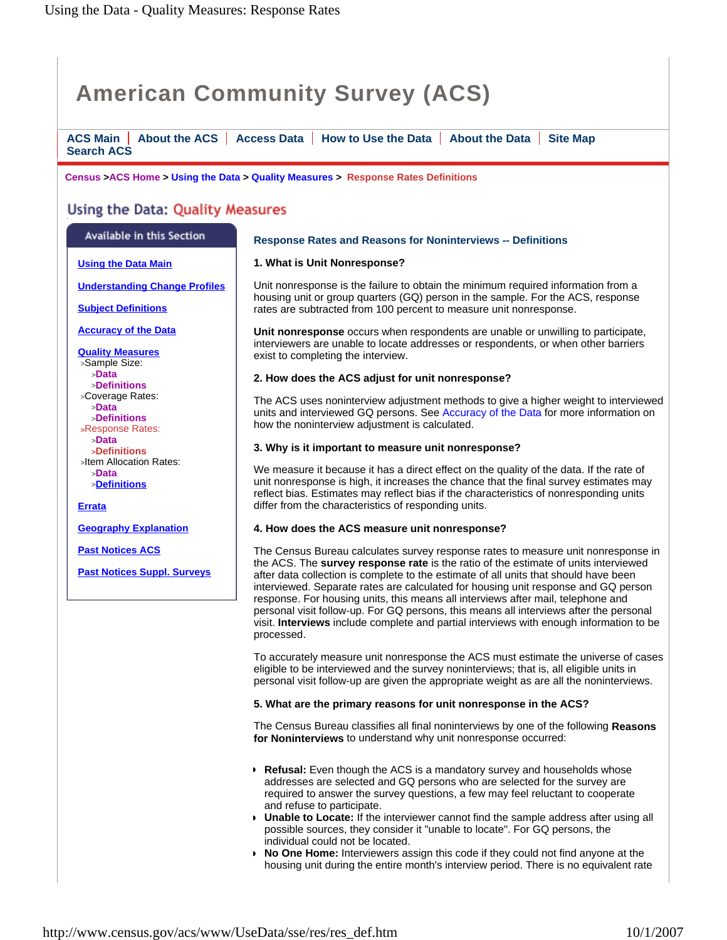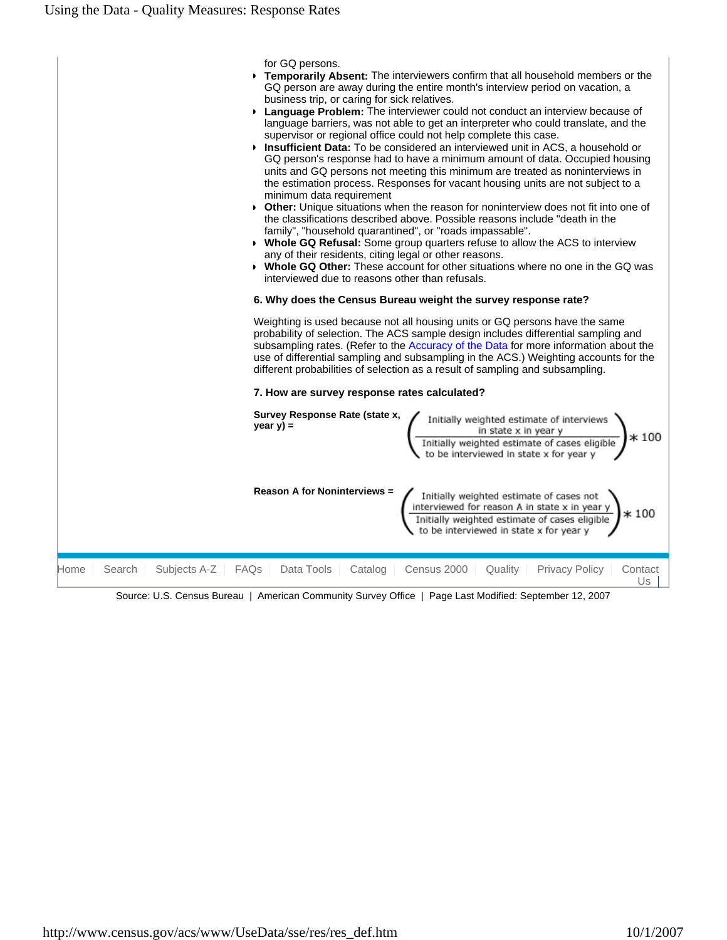

Source: U.S. Census Bureau | American Community Survey Office | Page Last Modified: September 12, 2007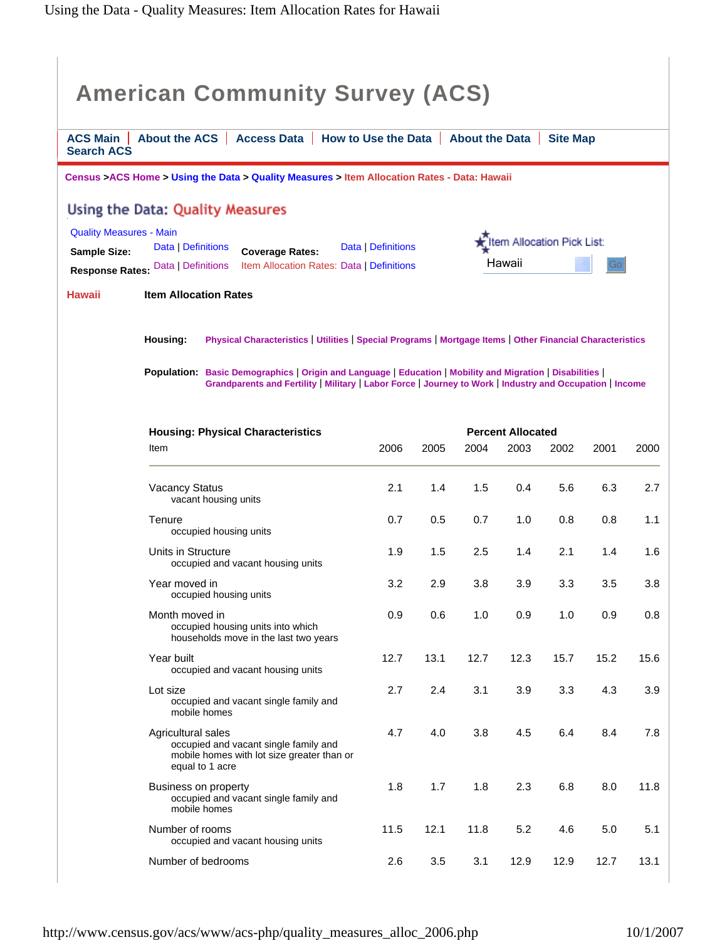| <b>American Community Survey (ACS)</b><br><b>ACS Main</b><br>About the ACS  <br>Access Data   How to Use the Data   About the Data<br><b>Site Map</b><br><b>Search ACS</b>                                                                                                                                                                               |                                                                                                                                                                                                                                                                                                                                                  |      |      |      |      |      |      |      |  |  |  |  |
|----------------------------------------------------------------------------------------------------------------------------------------------------------------------------------------------------------------------------------------------------------------------------------------------------------------------------------------------------------|--------------------------------------------------------------------------------------------------------------------------------------------------------------------------------------------------------------------------------------------------------------------------------------------------------------------------------------------------|------|------|------|------|------|------|------|--|--|--|--|
| Census >ACS Home > Using the Data > Quality Measures > Item Allocation Rates - Data: Hawaii                                                                                                                                                                                                                                                              |                                                                                                                                                                                                                                                                                                                                                  |      |      |      |      |      |      |      |  |  |  |  |
| Using the Data: Quality Measures<br><b>Quality Measures - Main</b><br>tem Allocation Pick List:<br>Data   Definitions<br>Data   Definitions<br><b>Sample Size:</b><br><b>Coverage Rates:</b><br>Hawaii<br>Gol<br>Item Allocation Rates: Data   Definitions<br><b>Response Rates: Data   Definitions</b><br><b>Hawaii</b><br><b>Item Allocation Rates</b> |                                                                                                                                                                                                                                                                                                                                                  |      |      |      |      |      |      |      |  |  |  |  |
|                                                                                                                                                                                                                                                                                                                                                          | Housing:<br>Physical Characteristics   Utilities   Special Programs   Mortgage Items   Other Financial Characteristics<br>Population: Basic Demographics   Origin and Language   Education   Mobility and Migration   Disabilities  <br>Grandparents and Fertility   Military   Labor Force   Journey to Work   Industry and Occupation   Income |      |      |      |      |      |      |      |  |  |  |  |
| <b>Percent Allocated</b>                                                                                                                                                                                                                                                                                                                                 |                                                                                                                                                                                                                                                                                                                                                  |      |      |      |      |      |      |      |  |  |  |  |
|                                                                                                                                                                                                                                                                                                                                                          | <b>Housing: Physical Characteristics</b><br>Item                                                                                                                                                                                                                                                                                                 | 2006 | 2005 | 2004 | 2003 | 2002 | 2001 | 2000 |  |  |  |  |
|                                                                                                                                                                                                                                                                                                                                                          | <b>Vacancy Status</b><br>vacant housing units                                                                                                                                                                                                                                                                                                    | 2.1  | 1.4  | 1.5  | 0.4  | 5.6  | 6.3  | 2.7  |  |  |  |  |
|                                                                                                                                                                                                                                                                                                                                                          | Tenure<br>occupied housing units                                                                                                                                                                                                                                                                                                                 | 0.7  | 0.5  | 0.7  | 1.0  | 0.8  | 0.8  | 1.1  |  |  |  |  |
|                                                                                                                                                                                                                                                                                                                                                          | Units in Structure<br>occupied and vacant housing units                                                                                                                                                                                                                                                                                          | 1.9  | 1.5  | 2.5  | 1.4  | 2.1  | 1.4  | 1.6  |  |  |  |  |
|                                                                                                                                                                                                                                                                                                                                                          | Year moved in<br>occupied housing units                                                                                                                                                                                                                                                                                                          | 3.2  | 2.9  | 3.8  | 3.9  | 3.3  | 3.5  | 3.8  |  |  |  |  |
|                                                                                                                                                                                                                                                                                                                                                          | Month moved in<br>occupied housing units into which<br>households move in the last two years                                                                                                                                                                                                                                                     | 0.9  | 0.6  | 1.0  | 0.9  | 1.0  | 0.9  | 0.8  |  |  |  |  |
|                                                                                                                                                                                                                                                                                                                                                          | Year built<br>occupied and vacant housing units                                                                                                                                                                                                                                                                                                  | 12.7 | 13.1 | 12.7 | 12.3 | 15.7 | 15.2 | 15.6 |  |  |  |  |
|                                                                                                                                                                                                                                                                                                                                                          | Lot size<br>occupied and vacant single family and<br>mobile homes                                                                                                                                                                                                                                                                                | 2.7  | 2.4  | 3.1  | 3.9  | 3.3  | 4.3  | 3.9  |  |  |  |  |
|                                                                                                                                                                                                                                                                                                                                                          | Agricultural sales<br>occupied and vacant single family and<br>mobile homes with lot size greater than or<br>equal to 1 acre                                                                                                                                                                                                                     | 4.7  | 4.0  | 3.8  | 4.5  | 6.4  | 8.4  | 7.8  |  |  |  |  |
|                                                                                                                                                                                                                                                                                                                                                          | Business on property<br>occupied and vacant single family and<br>mobile homes                                                                                                                                                                                                                                                                    | 1.8  | 1.7  | 1.8  | 2.3  | 6.8  | 8.0  | 11.8 |  |  |  |  |
|                                                                                                                                                                                                                                                                                                                                                          | Number of rooms<br>occupied and vacant housing units                                                                                                                                                                                                                                                                                             | 11.5 | 12.1 | 11.8 | 5.2  | 4.6  | 5.0  | 5.1  |  |  |  |  |
|                                                                                                                                                                                                                                                                                                                                                          | Number of bedrooms                                                                                                                                                                                                                                                                                                                               | 2.6  | 3.5  | 3.1  | 12.9 | 12.9 | 12.7 | 13.1 |  |  |  |  |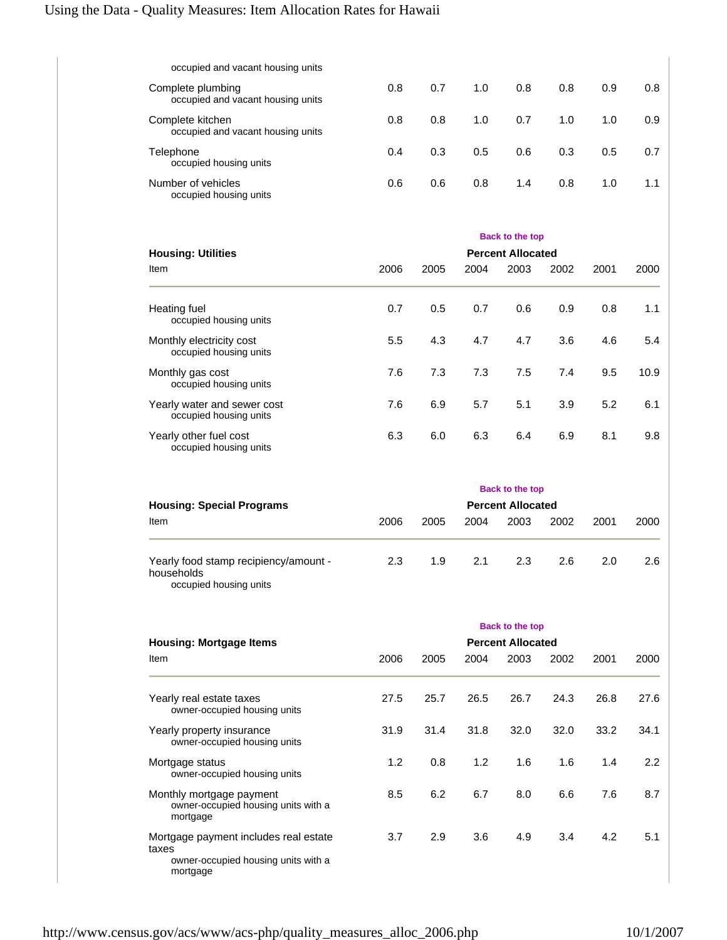| occupied and vacant housing units                      |     |     |     |     |     |     |     |
|--------------------------------------------------------|-----|-----|-----|-----|-----|-----|-----|
| Complete plumbing<br>occupied and vacant housing units | 0.8 | 0.7 | 1.0 | 0.8 | 0.8 | 0.9 | 0.8 |
| Complete kitchen<br>occupied and vacant housing units  | 0.8 | 0.8 | 1.0 | 0.7 | 1.0 | 1.0 | 0.9 |
| Telephone<br>occupied housing units                    | 0.4 | 0.3 | 0.5 | 0.6 | 0.3 | 0.5 | 0.7 |
| Number of vehicles<br>occupied housing units           | 0.6 | 0.6 | 0.8 | 1.4 | 0.8 | 1.0 | 1.1 |

| <b>Housing: Utilities</b>                             | <b>Back to the top</b><br><b>Percent Allocated</b> |      |      |      |      |      |      |  |  |
|-------------------------------------------------------|----------------------------------------------------|------|------|------|------|------|------|--|--|
| Item                                                  | 2006                                               | 2005 | 2004 | 2003 | 2002 | 2001 | 2000 |  |  |
| Heating fuel<br>occupied housing units                | 0.7                                                | 0.5  | 0.7  | 0.6  | 0.9  | 0.8  | 1.1  |  |  |
| Monthly electricity cost<br>occupied housing units    | 5.5                                                | 4.3  | 4.7  | 4.7  | 3.6  | 4.6  | 5.4  |  |  |
| Monthly gas cost<br>occupied housing units            | 7.6                                                | 7.3  | 7.3  | 7.5  | 7.4  | 9.5  | 10.9 |  |  |
| Yearly water and sewer cost<br>occupied housing units | 7.6                                                | 6.9  | 5.7  | 5.1  | 3.9  | 5.2  | 6.1  |  |  |
| Yearly other fuel cost<br>occupied housing units      | 6.3                                                | 6.0  | 6.3  | 6.4  | 6.9  | 8.1  | 9.8  |  |  |

|                                                                               | Back to the top |                          |      |      |      |      |      |  |  |
|-------------------------------------------------------------------------------|-----------------|--------------------------|------|------|------|------|------|--|--|
| <b>Housing: Special Programs</b>                                              |                 | <b>Percent Allocated</b> |      |      |      |      |      |  |  |
| Item                                                                          | 2006            | 2005                     | 2004 | 2003 | 2002 | 2001 | 2000 |  |  |
| Yearly food stamp recipiency/amount -<br>households<br>occupied housing units | 2.3             | 1.9                      | 2.1  | 2.3  | 2.6  | 2.0  | 2.6  |  |  |

|                                                                                                   | <b>Back to the top</b>   |      |      |      |      |      |      |  |  |  |
|---------------------------------------------------------------------------------------------------|--------------------------|------|------|------|------|------|------|--|--|--|
| <b>Housing: Mortgage Items</b>                                                                    | <b>Percent Allocated</b> |      |      |      |      |      |      |  |  |  |
| Item                                                                                              | 2006                     | 2005 | 2004 | 2003 | 2002 | 2001 | 2000 |  |  |  |
| Yearly real estate taxes<br>owner-occupied housing units                                          | 27.5                     | 25.7 | 26.5 | 26.7 | 24.3 | 26.8 | 27.6 |  |  |  |
| Yearly property insurance<br>owner-occupied housing units                                         | 31.9                     | 31.4 | 31.8 | 32.0 | 32.0 | 33.2 | 34.1 |  |  |  |
| Mortgage status<br>owner-occupied housing units                                                   | 1.2                      | 0.8  | 1.2  | 1.6  | 1.6  | 1.4  | 2.2  |  |  |  |
| Monthly mortgage payment<br>owner-occupied housing units with a<br>mortgage                       | 8.5                      | 6.2  | 6.7  | 8.0  | 6.6  | 7.6  | 8.7  |  |  |  |
| Mortgage payment includes real estate<br>taxes<br>owner-occupied housing units with a<br>mortgage | 3.7                      | 2.9  | 3.6  | 4.9  | 3.4  | 4.2  | 5.1  |  |  |  |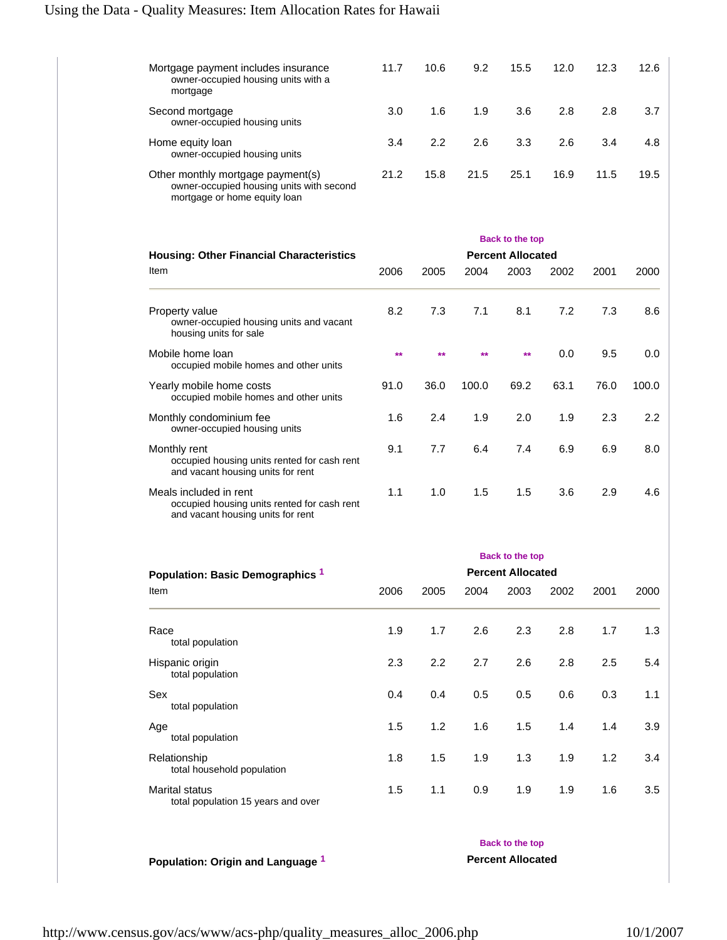| Mortgage payment includes insurance<br>owner-occupied housing units with a<br>mortgage                        | 11.7 | 10.6 | 9.2  | 15.5 | 12.0 | 12.3 | 12.6 |
|---------------------------------------------------------------------------------------------------------------|------|------|------|------|------|------|------|
| Second mortgage<br>owner-occupied housing units                                                               | 3.0  | 1.6  | 1.9  | 3.6  | 2.8  | 2.8  | 3.7  |
| Home equity loan<br>owner-occupied housing units                                                              | 3.4  | 2.2  | 2.6  | 3.3  | 2.6  | 3.4  | 4.8  |
| Other monthly mortgage payment(s)<br>owner-occupied housing units with second<br>mortgage or home equity loan | 21.2 | 15.8 | 21.5 | 25.1 | 16.9 | 11.5 | 19.5 |

|                                                                                                            | <b>Back to the top</b><br><b>Percent Allocated</b> |             |       |      |      |      |       |  |  |
|------------------------------------------------------------------------------------------------------------|----------------------------------------------------|-------------|-------|------|------|------|-------|--|--|
| <b>Housing: Other Financial Characteristics</b>                                                            |                                                    |             |       |      |      |      |       |  |  |
| <b>Item</b>                                                                                                | 2006                                               | 2005        | 2004  | 2003 | 2002 | 2001 | 2000  |  |  |
| Property value<br>owner-occupied housing units and vacant<br>housing units for sale                        | 8.2                                                | 7.3         | 7.1   | 8.1  | 7.2  | 7.3  | 8.6   |  |  |
| Mobile home loan<br>occupied mobile homes and other units                                                  | $*$                                                | <b>dede</b> | ÷÷    | $**$ | 0.0  | 9.5  | 0.0   |  |  |
| Yearly mobile home costs<br>occupied mobile homes and other units                                          | 91.0                                               | 36.0        | 100.0 | 69.2 | 63.1 | 76.0 | 100.0 |  |  |
| Monthly condominium fee<br>owner-occupied housing units                                                    | 1.6                                                | 2.4         | 1.9   | 2.0  | 1.9  | 2.3  | 2.2   |  |  |
| Monthly rent<br>occupied housing units rented for cash rent<br>and vacant housing units for rent           | 9.1                                                | 7.7         | 6.4   | 7.4  | 6.9  | 6.9  | 8.0   |  |  |
| Meals included in rent<br>occupied housing units rented for cash rent<br>and vacant housing units for rent | 1.1                                                | 1.0         | 1.5   | 1.5  | 3.6  | 2.9  | 4.6   |  |  |

|                                                             | <b>Back to the top</b>   |      |      |                        |      |      |      |  |  |
|-------------------------------------------------------------|--------------------------|------|------|------------------------|------|------|------|--|--|
| Population: Basic Demographics <sup>1</sup>                 | <b>Percent Allocated</b> |      |      |                        |      |      |      |  |  |
| Item                                                        | 2006                     | 2005 | 2004 | 2003                   | 2002 | 2001 | 2000 |  |  |
| Race<br>total population                                    | 1.9                      | 1.7  | 2.6  | 2.3                    | 2.8  | 1.7  | 1.3  |  |  |
| Hispanic origin<br>total population                         | 2.3                      | 2.2  | 2.7  | 2.6                    | 2.8  | 2.5  | 5.4  |  |  |
| Sex<br>total population                                     | 0.4                      | 0.4  | 0.5  | 0.5                    | 0.6  | 0.3  | 1.1  |  |  |
| Age<br>total population                                     | 1.5                      | 1.2  | 1.6  | 1.5                    | 1.4  | 1.4  | 3.9  |  |  |
| Relationship<br>total household population                  | 1.8                      | 1.5  | 1.9  | 1.3                    | 1.9  | 1.2  | 3.4  |  |  |
| <b>Marital status</b><br>total population 15 years and over | 1.5                      | 1.1  | 0.9  | 1.9                    | 1.9  | 1.6  | 3.5  |  |  |
|                                                             |                          |      |      | <b>Back to the top</b> |      |      |      |  |  |

**Population: Origin and Language 1 Percent Allocated**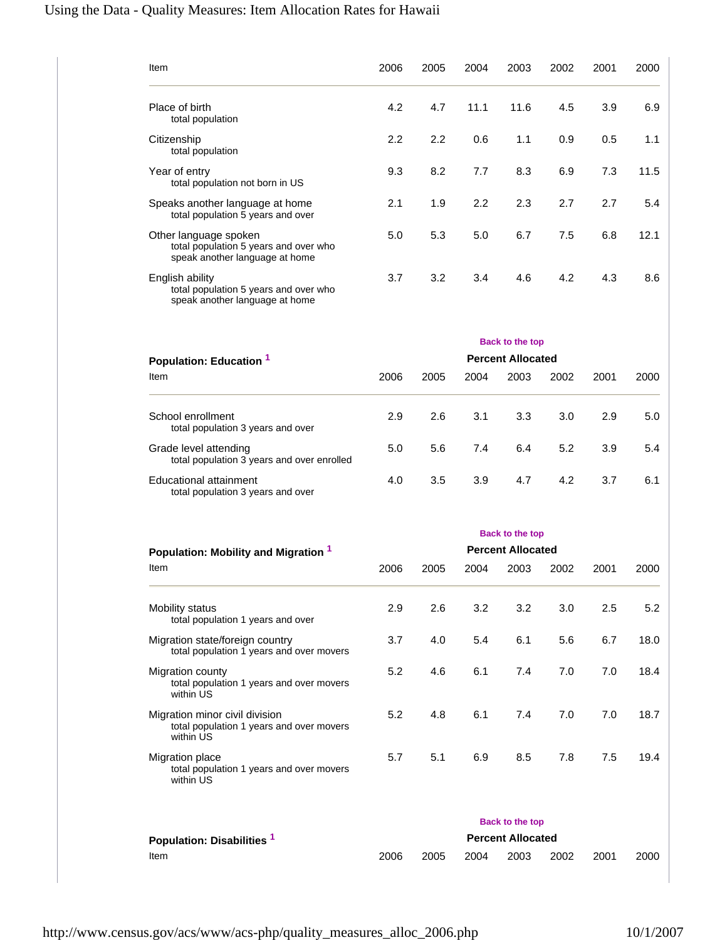# Using the Data - Quality Measures: Item Allocation Rates for Hawaii

| Item                                                                                             | 2006 | 2005    | 2004 | 2003                                               | 2002 | 2001 | 2000 |
|--------------------------------------------------------------------------------------------------|------|---------|------|----------------------------------------------------|------|------|------|
| Place of birth<br>total population                                                               | 4.2  | 4.7     | 11.1 | 11.6                                               | 4.5  | 3.9  | 6.9  |
| Citizenship<br>total population                                                                  | 2.2  | $2.2\,$ | 0.6  | 1.1                                                | 0.9  | 0.5  | 1.1  |
| Year of entry<br>total population not born in US                                                 | 9.3  | 8.2     | 7.7  | 8.3                                                | 6.9  | 7.3  | 11.5 |
| Speaks another language at home<br>total population 5 years and over                             | 2.1  | 1.9     | 2.2  | 2.3                                                | 2.7  | 2.7  | 5.4  |
| Other language spoken<br>total population 5 years and over who<br>speak another language at home | 5.0  | 5.3     | 5.0  | 6.7                                                | 7.5  | 6.8  | 12.1 |
| English ability<br>total population 5 years and over who<br>speak another language at home       | 3.7  | 3.2     | 3.4  | 4.6                                                | 4.2  | 4.3  | 8.6  |
| Population: Education 1                                                                          |      |         |      | <b>Back to the top</b><br><b>Percent Allocated</b> |      |      |      |
| Item                                                                                             | 2006 | 2005    | 2004 | 2003                                               | 2002 | 2001 | 2000 |
| School enrollment<br>total population 3 years and over                                           | 2.9  | 2.6     | 3.1  | 3.3                                                | 3.0  | 2.9  | 5.0  |
| Grade level attending<br>total population 3 years and over enrolled                              | 5.0  | 5.6     | 7.4  | 6.4                                                | 5.2  | 3.9  | 5.4  |
| <b>Educational attainment</b><br>total population 3 years and over                               | 4.0  | 3.5     | 3.9  | 4.7                                                | 4.2  | 3.7  | 6.1  |
| Population: Mobility and Migration 1                                                             |      |         |      | <b>Back to the top</b><br><b>Percent Allocated</b> |      |      |      |
| Item                                                                                             | 2006 | 2005    | 2004 | 2003                                               | 2002 | 2001 | 2000 |
| Mobility status<br>total population 1 years and over                                             | 2.9  | 2.6     | 3.2  | 3.2                                                | 3.0  | 2.5  | 5.2  |
| Migration state/foreign country<br>total population 1 years and over movers                      | 3.7  | 4.0     | 5.4  | 6.1                                                | 5.6  | 6.7  | 18.0 |
| Migration county<br>total population 1 years and over movers<br>within US                        | 5.2  | 4.6     | 6.1  | 7.4                                                | 7.0  | 7.0  | 18.4 |
| Migration minor civil division<br>total population 1 years and over movers<br>within US          | 5.2  | 4.8     | 6.1  | 7.4                                                | 7.0  | 7.0  | 18.7 |
| Migration place<br>total population 1 years and over movers<br>within US                         | 5.7  | 5.1     | 6.9  | 8.5                                                | 7.8  | 7.5  | 19.4 |
|                                                                                                  |      |         |      | <b>Back to the top</b>                             |      |      |      |
| Population: Disabilities 1<br>Item                                                               | 2006 | 2005    | 2004 | <b>Percent Allocated</b><br>2003                   | 2002 | 2001 | 2000 |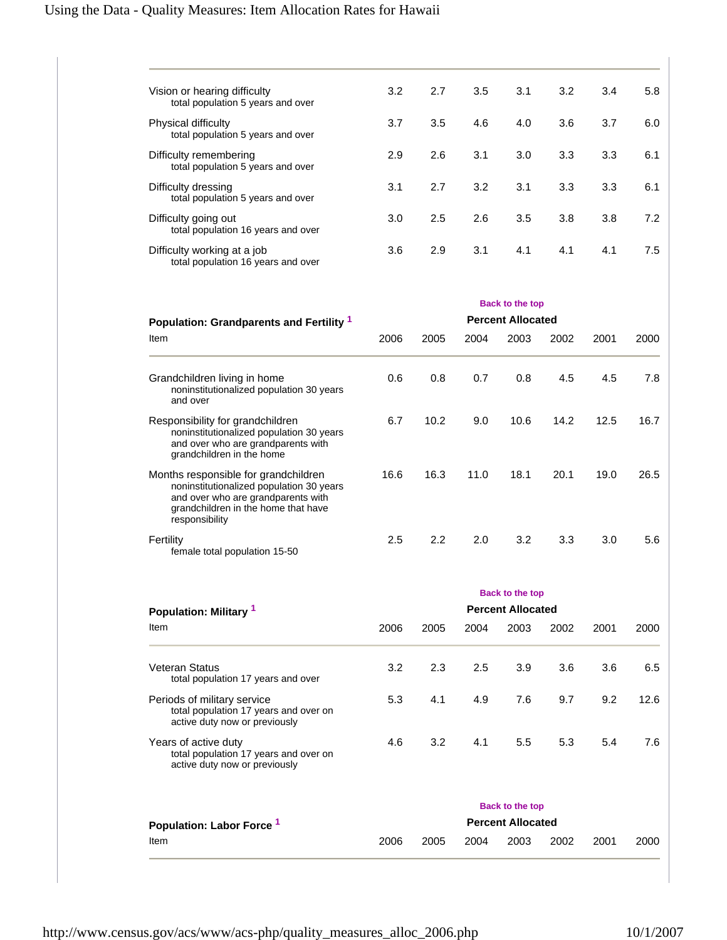| Vision or hearing difficulty<br>total population 5 years and over | 3.2 | 2.7 | 3.5 | 3.1 | 3.2 | 3.4 | 5.8 |
|-------------------------------------------------------------------|-----|-----|-----|-----|-----|-----|-----|
| Physical difficulty<br>total population 5 years and over          | 3.7 | 3.5 | 4.6 | 4.0 | 3.6 | 3.7 | 6.0 |
| Difficulty remembering<br>total population 5 years and over       | 2.9 | 2.6 | 3.1 | 3.0 | 3.3 | 3.3 | 6.1 |
| Difficulty dressing<br>total population 5 years and over          | 3.1 | 2.7 | 3.2 | 3.1 | 3.3 | 3.3 | 6.1 |
| Difficulty going out<br>total population 16 years and over        | 3.0 | 2.5 | 2.6 | 3.5 | 3.8 | 3.8 | 7.2 |
| Difficulty working at a job<br>total population 16 years and over | 3.6 | 2.9 | 3.1 | 4.1 | 4.1 | 4.1 | 7.5 |

| Population: Grandparents and Fertility 1                                                                                                                                        | <b>Back to the top</b><br><b>Percent Allocated</b> |               |      |      |      |      |      |  |  |
|---------------------------------------------------------------------------------------------------------------------------------------------------------------------------------|----------------------------------------------------|---------------|------|------|------|------|------|--|--|
| Item                                                                                                                                                                            | 2006                                               | 2005          | 2004 | 2003 | 2002 | 2001 | 2000 |  |  |
| Grandchildren living in home<br>noninstitutionalized population 30 years<br>and over                                                                                            | 0.6                                                | 0.8           | 0.7  | 0.8  | 4.5  | 4.5  | 7.8  |  |  |
| Responsibility for grandchildren<br>noninstitutionalized population 30 years<br>and over who are grandparents with<br>grandchildren in the home                                 | 6.7                                                | 10.2          | 9.0  | 10.6 | 14.2 | 12.5 | 16.7 |  |  |
| Months responsible for grandchildren<br>noninstitutionalized population 30 years<br>and over who are grandparents with<br>grandchildren in the home that have<br>responsibility | 16.6                                               | 16.3          | 11.0 | 18.1 | 20.1 | 19.0 | 26.5 |  |  |
| Fertility<br>female total population 15-50                                                                                                                                      | 2.5                                                | $2.2^{\circ}$ | 2.0  | 3.2  | 3.3  | 3.0  | 5.6  |  |  |

|                                                                                                       | <b>Back to the top</b>   |      |      |                          |      |      |      |  |  |
|-------------------------------------------------------------------------------------------------------|--------------------------|------|------|--------------------------|------|------|------|--|--|
| Population: Military 1                                                                                | <b>Percent Allocated</b> |      |      |                          |      |      |      |  |  |
| Item                                                                                                  | 2006                     | 2005 | 2004 | 2003                     | 2002 | 2001 | 2000 |  |  |
| <b>Veteran Status</b><br>total population 17 years and over                                           | 3.2                      | 2.3  | 2.5  | 3.9                      | 3.6  | 3.6  | 6.5  |  |  |
| Periods of military service<br>total population 17 years and over on<br>active duty now or previously | 5.3                      | 4.1  | 4.9  | 7.6                      | 9.7  | 9.2  | 12.6 |  |  |
| Years of active duty<br>total population 17 years and over on<br>active duty now or previously        | 4.6                      | 3.2  | 4.1  | $5.5^{\circ}$            | 5.3  | 5.4  | 7.6  |  |  |
|                                                                                                       |                          |      |      | <b>Back to the top</b>   |      |      |      |  |  |
| Population: Labor Force <sup>1</sup>                                                                  |                          |      |      | <b>Percent Allocated</b> |      |      |      |  |  |
| Item                                                                                                  | 2006                     | 2005 | 2004 | 2003                     | 2002 | 2001 | 2000 |  |  |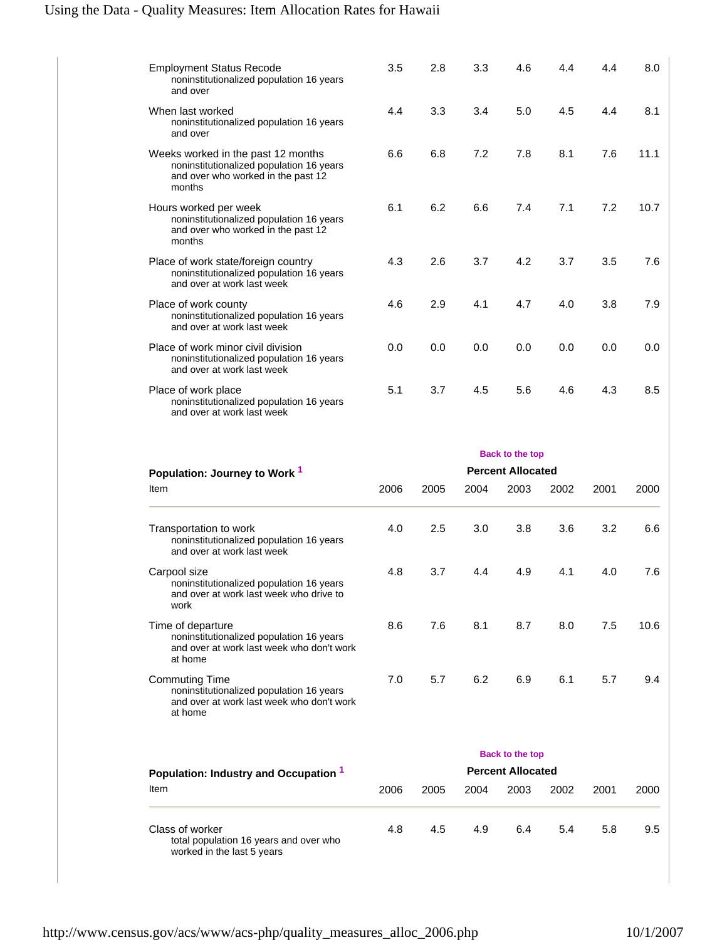| <b>Employment Status Recode</b><br>noninstitutionalized population 16 years<br>and over                                        | 3.5 | 2.8 | 3.3 | 4.6 | 4.4 | 4.4 | 8.0  |
|--------------------------------------------------------------------------------------------------------------------------------|-----|-----|-----|-----|-----|-----|------|
| When last worked<br>noninstitutionalized population 16 years<br>and over                                                       | 4.4 | 3.3 | 3.4 | 5.0 | 4.5 | 4.4 | 8.1  |
| Weeks worked in the past 12 months<br>noninstitutionalized population 16 years<br>and over who worked in the past 12<br>months | 6.6 | 6.8 | 7.2 | 7.8 | 8.1 | 7.6 | 11.1 |
| Hours worked per week<br>noninstitutionalized population 16 years<br>and over who worked in the past 12<br>months              | 6.1 | 6.2 | 6.6 | 7.4 | 7.1 | 7.2 | 10.7 |
| Place of work state/foreign country<br>noninstitutionalized population 16 years<br>and over at work last week                  | 4.3 | 2.6 | 3.7 | 4.2 | 3.7 | 3.5 | 7.6  |
| Place of work county<br>noninstitutionalized population 16 years<br>and over at work last week                                 | 4.6 | 2.9 | 4.1 | 4.7 | 4.0 | 3.8 | 7.9  |
| Place of work minor civil division<br>noninstitutionalized population 16 years<br>and over at work last week                   | 0.0 | 0.0 | 0.0 | 0.0 | 0.0 | 0.0 | 0.0  |
| Place of work place<br>noninstitutionalized population 16 years<br>and over at work last week                                  | 5.1 | 3.7 | 4.5 | 5.6 | 4.6 | 4.3 | 8.5  |

|                                                                                                                           |      |      |      | <b>Back to the top</b>   |      |      |      |
|---------------------------------------------------------------------------------------------------------------------------|------|------|------|--------------------------|------|------|------|
| Population: Journey to Work <sup>1</sup>                                                                                  |      |      |      | <b>Percent Allocated</b> |      |      |      |
| Item                                                                                                                      | 2006 | 2005 | 2004 | 2003                     | 2002 | 2001 | 2000 |
| Transportation to work<br>noninstitutionalized population 16 years<br>and over at work last week                          | 4.0  | 2.5  | 3.0  | 3.8                      | 3.6  | 3.2  | 6.6  |
| Carpool size<br>noninstitutionalized population 16 years<br>and over at work last week who drive to<br>work               | 4.8  | 3.7  | 4.4  | 4.9                      | 4.1  | 4.0  | 7.6  |
| Time of departure<br>noninstitutionalized population 16 years<br>and over at work last week who don't work<br>at home     | 8.6  | 7.6  | 8.1  | 8.7                      | 8.0  | 7.5  | 10.6 |
| <b>Commuting Time</b><br>noninstitutionalized population 16 years<br>and over at work last week who don't work<br>at home | 7.0  | 5.7  | 6.2  | 6.9                      | 6.1  | 5.7  | 9.4  |
|                                                                                                                           |      |      |      | <b>Back to the top</b>   |      |      |      |
| Population: Industry and Occupation 1                                                                                     |      |      |      | <b>Percent Allocated</b> |      |      |      |
| Item                                                                                                                      | 2006 | 2005 | 2004 | 2003                     | 2002 | 2001 | 2000 |
| Class of worker<br>total population 16 years and over who<br>worked in the last 5 years                                   | 4.8  | 4.5  | 4.9  | 6.4                      | 5.4  | 5.8  | 9.5  |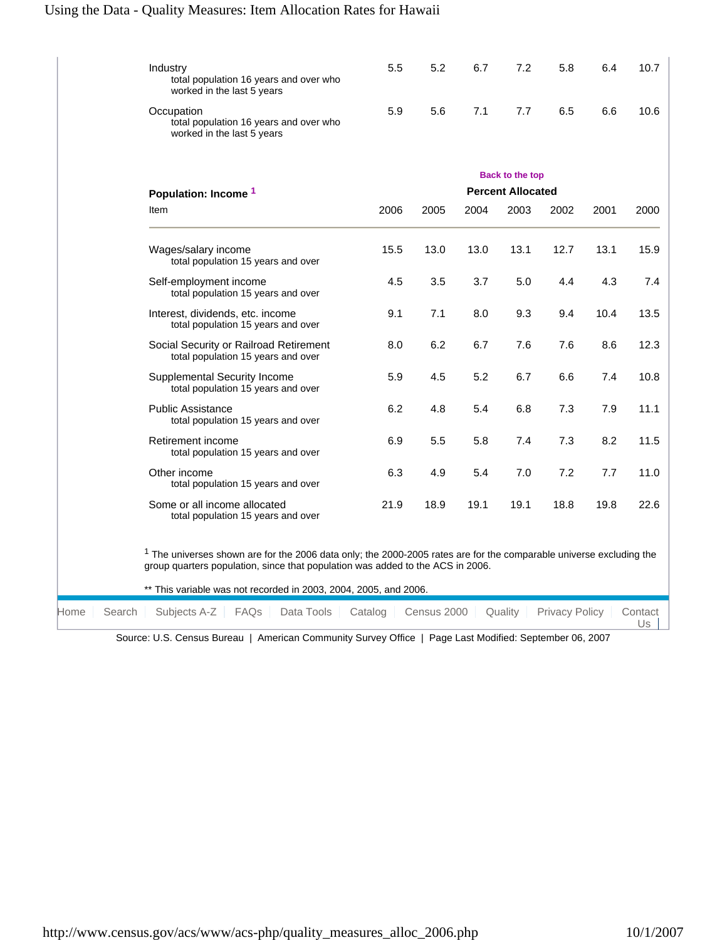# Using the Data - Quality Measures: Item Allocation Rates for Hawaii

|      | Industry<br>total population 16 years and over who<br>worked in the last 5 years                                                                                                                        | 5.5     | 5.2         | 6.7  | 7.2                              | 5.8                   | 6.4  | 10.7          |
|------|---------------------------------------------------------------------------------------------------------------------------------------------------------------------------------------------------------|---------|-------------|------|----------------------------------|-----------------------|------|---------------|
|      | Occupation<br>total population 16 years and over who<br>worked in the last 5 years                                                                                                                      | 5.9     | 5.6         | 7.1  | 7.7                              | 6.5                   | 6.6  | 10.6          |
|      |                                                                                                                                                                                                         |         |             |      | <b>Back to the top</b>           |                       |      |               |
|      | Population: Income <sup>1</sup><br>Item                                                                                                                                                                 | 2006    | 2005        | 2004 | <b>Percent Allocated</b><br>2003 | 2002                  | 2001 | 2000          |
|      | Wages/salary income<br>total population 15 years and over                                                                                                                                               | 15.5    | 13.0        | 13.0 | 13.1                             | 12.7                  | 13.1 | 15.9          |
|      | Self-employment income<br>total population 15 years and over                                                                                                                                            | 4.5     | 3.5         | 3.7  | 5.0                              | 4.4                   | 4.3  | 7.4           |
|      | Interest, dividends, etc. income<br>total population 15 years and over                                                                                                                                  | 9.1     | 7.1         | 8.0  | 9.3                              | 9.4                   | 10.4 | 13.5          |
|      | Social Security or Railroad Retirement<br>total population 15 years and over                                                                                                                            | 8.0     | 6.2         | 6.7  | 7.6                              | 7.6                   | 8.6  | 12.3          |
|      | Supplemental Security Income<br>total population 15 years and over                                                                                                                                      | 5.9     | 4.5         | 5.2  | 6.7                              | 6.6                   | 7.4  | 10.8          |
|      | <b>Public Assistance</b><br>total population 15 years and over                                                                                                                                          | 6.2     | 4.8         | 5.4  | 6.8                              | 7.3                   | 7.9  | 11.1          |
|      | Retirement income<br>total population 15 years and over                                                                                                                                                 | 6.9     | 5.5         | 5.8  | 7.4                              | 7.3                   | 8.2  | 11.5          |
|      | Other income<br>total population 15 years and over                                                                                                                                                      | 6.3     | 4.9         | 5.4  | 7.0                              | 7.2                   | 7.7  | 11.0          |
|      | Some or all income allocated<br>total population 15 years and over                                                                                                                                      | 21.9    | 18.9        | 19.1 | 19.1                             | 18.8                  | 19.8 | 22.6          |
|      | $1$ The universes shown are for the 2006 data only; the 2000-2005 rates are for the comparable universe excluding the<br>group quarters population, since that population was added to the ACS in 2006. |         |             |      |                                  |                       |      |               |
|      | ** This variable was not recorded in 2003, 2004, 2005, and 2006.                                                                                                                                        |         |             |      |                                  |                       |      |               |
| Home | Search<br>Subjects A-Z<br>FAQs<br>Data Tools<br>Source: U.S. Census Bureau, L. American Community Survey Office, L. Page Last Modified: September 06, 2007                                              | Catalog | Census 2000 |      | Quality                          | <b>Privacy Policy</b> |      | Contact<br>Us |

urce: U.S. Census Bureau | American Community Survey Office | Page Last Modified: September 06, 2007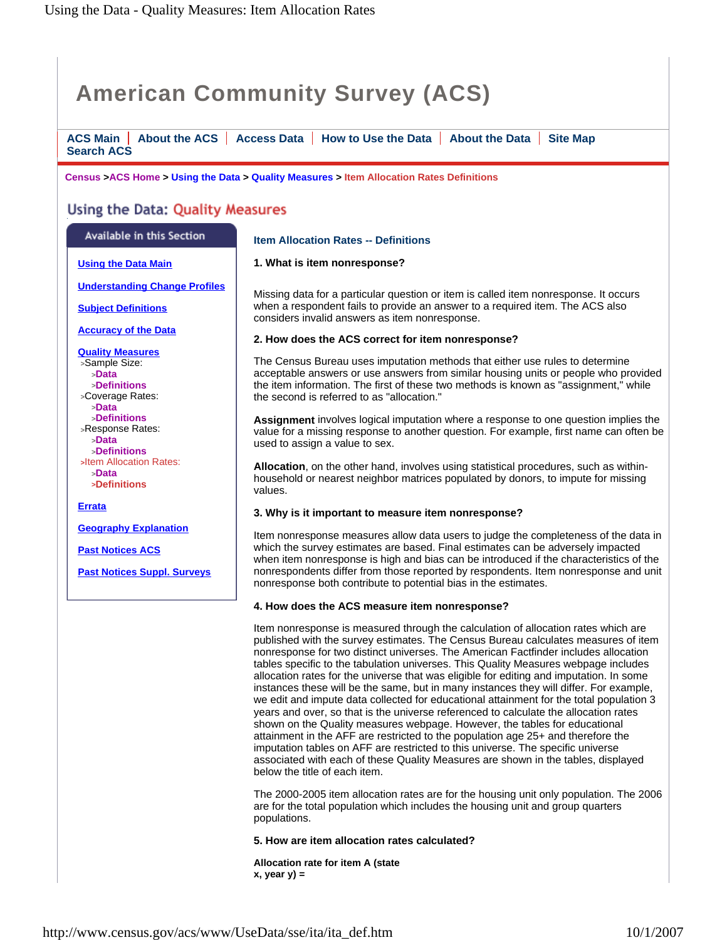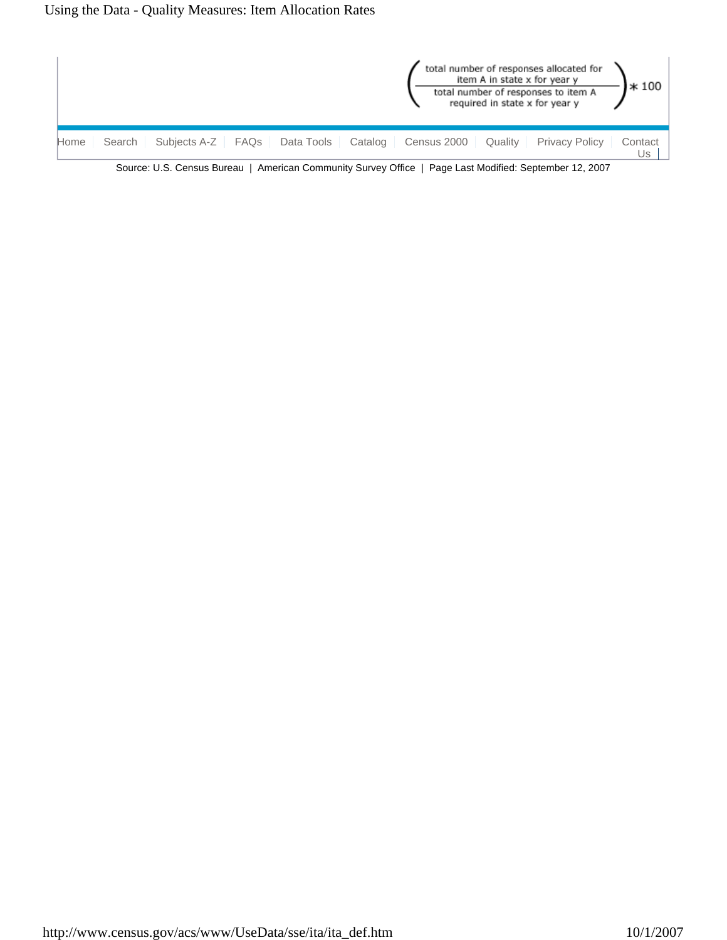

Source: U.S. Census Bureau | American Community Survey Office | Page Last Modified: September 12, 2007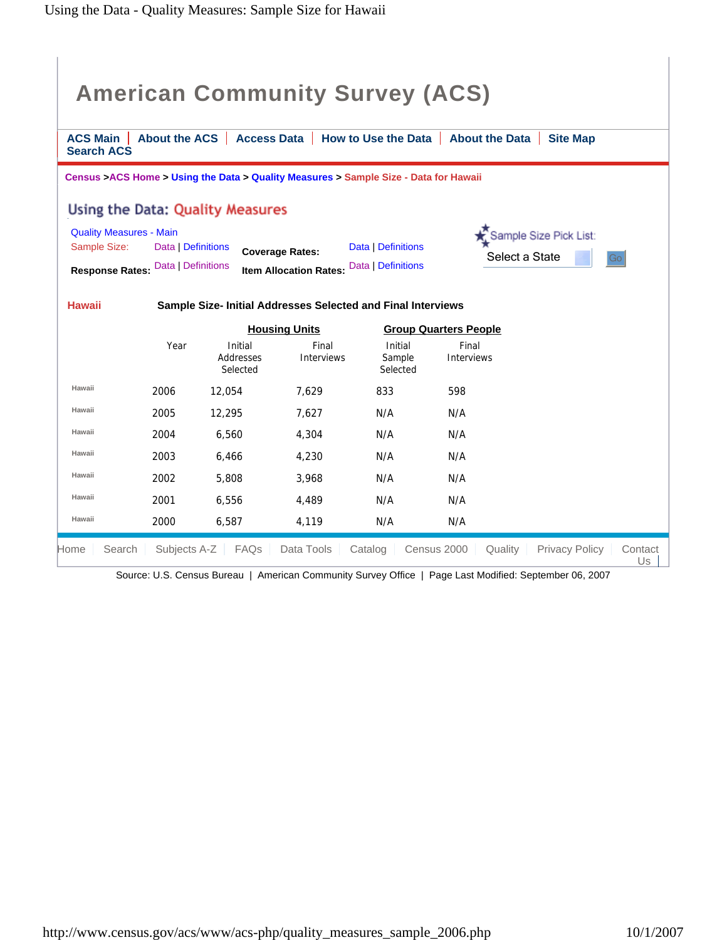| <b>ACS Main</b>   |                                                                                                   | <b>American Community Survey (ACS)</b>                                                |                                                         |                                          | About the ACS   Access Data   How to Use the Data   About the Data<br><b>Site Map</b> |
|-------------------|---------------------------------------------------------------------------------------------------|---------------------------------------------------------------------------------------|---------------------------------------------------------|------------------------------------------|---------------------------------------------------------------------------------------|
| <b>Search ACS</b> |                                                                                                   |                                                                                       |                                                         |                                          |                                                                                       |
|                   |                                                                                                   | Census > ACS Home > Using the Data > Quality Measures > Sample Size - Data for Hawaii |                                                         |                                          |                                                                                       |
|                   |                                                                                                   | Using the Data: Quality Measures                                                      |                                                         |                                          |                                                                                       |
| Sample Size:      | <b>Quality Measures - Main</b><br>Data   Definitions<br><b>Response Rates: Data   Definitions</b> |                                                                                       | <b>Coverage Rates:</b><br><b>Item Allocation Rates:</b> | Data   Definitions<br>Data   Definitions | Sample Size Pick List:<br>Select a State<br>Go                                        |
| <b>Hawaii</b>     |                                                                                                   | Sample Size- Initial Addresses Selected and Final Interviews                          |                                                         |                                          |                                                                                       |
|                   |                                                                                                   |                                                                                       | <b>Housing Units</b>                                    |                                          | <b>Group Quarters People</b>                                                          |
|                   | Year                                                                                              | Initial<br>Addresses<br>Selected                                                      | Final<br><b>Interviews</b>                              | Initial<br>Sample<br>Selected            | Final<br><b>Interviews</b>                                                            |
| Hawaii            | 2006                                                                                              | 12.054                                                                                | 7.629                                                   | 833                                      | 598                                                                                   |
| Hawaii            | 2005                                                                                              | 12,295                                                                                | 7.627                                                   | N/A                                      | N/A                                                                                   |
| Hawaii            | 2004                                                                                              | 6.560                                                                                 | 4,304                                                   | N/A                                      | N/A                                                                                   |
| Hawaii            | 2003                                                                                              | 6,466                                                                                 | 4,230                                                   | N/A                                      | N/A                                                                                   |
| Hawaii            | 2002                                                                                              | 5,808                                                                                 | 3.968                                                   | N/A                                      | N/A                                                                                   |
| Hawaii            | 2001                                                                                              | 6,556                                                                                 | 4,489                                                   | N/A                                      | N/A                                                                                   |
| Hawaii            | 2000                                                                                              | 6,587                                                                                 | 4,119                                                   | N/A                                      | N/A                                                                                   |
| Search<br>Home    | Subjects A-Z                                                                                      | FAQs                                                                                  | Data Tools                                              | Catalog                                  | Census 2000<br><b>Privacy Policy</b><br>Quality<br>Contact<br>Us                      |

Source: U.S. Census Bureau | American Community Survey Office | Page Last Modified: September 06, 2007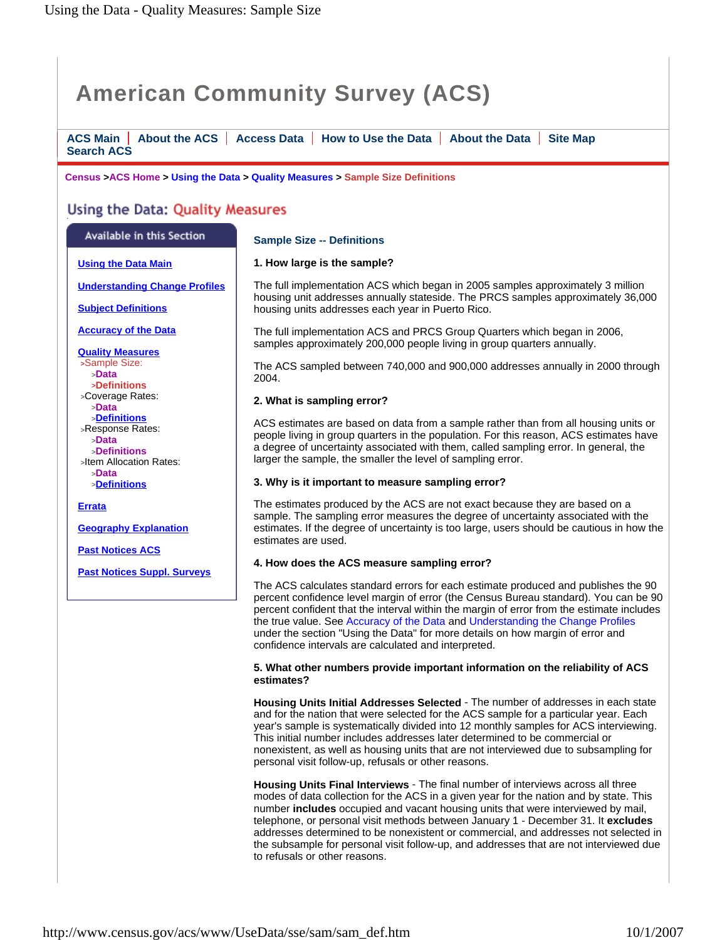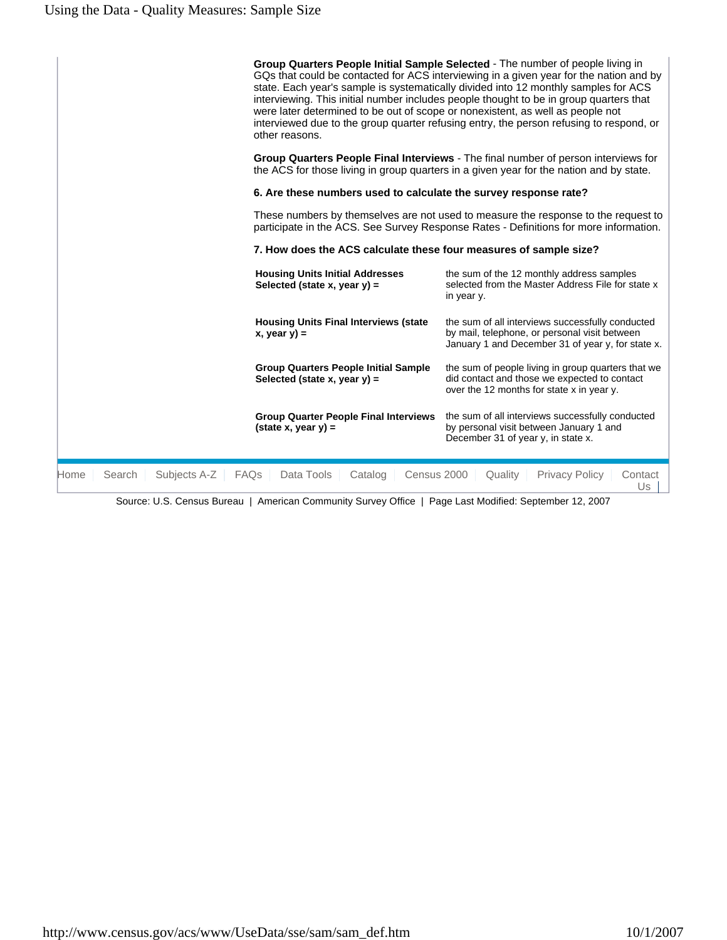| Home | Subjects A-Z<br>Search | <b>FAQs</b><br>Data Tools<br>Catalog<br>Census 2000                                              | Quality<br><b>Privacy Policy</b><br>Contact<br>Us                                                                                                                                                                                                                                                                                                                                                                                                    |
|------|------------------------|--------------------------------------------------------------------------------------------------|------------------------------------------------------------------------------------------------------------------------------------------------------------------------------------------------------------------------------------------------------------------------------------------------------------------------------------------------------------------------------------------------------------------------------------------------------|
|      |                        | <b>Group Quarter People Final Interviews</b><br>$(\text{state } x, \text{ year } y) =$           | the sum of all interviews successfully conducted<br>by personal visit between January 1 and<br>December 31 of year y, in state x.                                                                                                                                                                                                                                                                                                                    |
|      |                        | <b>Group Quarters People Initial Sample</b><br>Selected (state x, year $y$ ) =                   | the sum of people living in group quarters that we<br>did contact and those we expected to contact<br>over the 12 months for state x in year y.                                                                                                                                                                                                                                                                                                      |
|      |                        | <b>Housing Units Final Interviews (state</b><br>$x, year y) =$                                   | the sum of all interviews successfully conducted<br>by mail, telephone, or personal visit between<br>January 1 and December 31 of year y, for state x.                                                                                                                                                                                                                                                                                               |
|      |                        | <b>Housing Units Initial Addresses</b><br>Selected (state x, year $y$ ) =                        | the sum of the 12 monthly address samples<br>selected from the Master Address File for state x<br>in year y.                                                                                                                                                                                                                                                                                                                                         |
|      |                        | 7. How does the ACS calculate these four measures of sample size?                                |                                                                                                                                                                                                                                                                                                                                                                                                                                                      |
|      |                        |                                                                                                  | These numbers by themselves are not used to measure the response to the request to<br>participate in the ACS. See Survey Response Rates - Definitions for more information.                                                                                                                                                                                                                                                                          |
|      |                        | 6. Are these numbers used to calculate the survey response rate?                                 |                                                                                                                                                                                                                                                                                                                                                                                                                                                      |
|      |                        |                                                                                                  | Group Quarters People Final Interviews - The final number of person interviews for<br>the ACS for those living in group quarters in a given year for the nation and by state.                                                                                                                                                                                                                                                                        |
|      |                        | were later determined to be out of scope or nonexistent, as well as people not<br>other reasons. | Group Quarters People Initial Sample Selected - The number of people living in<br>GQs that could be contacted for ACS interviewing in a given year for the nation and by<br>state. Each year's sample is systematically divided into 12 monthly samples for ACS<br>interviewing. This initial number includes people thought to be in group quarters that<br>interviewed due to the group quarter refusing entry, the person refusing to respond, or |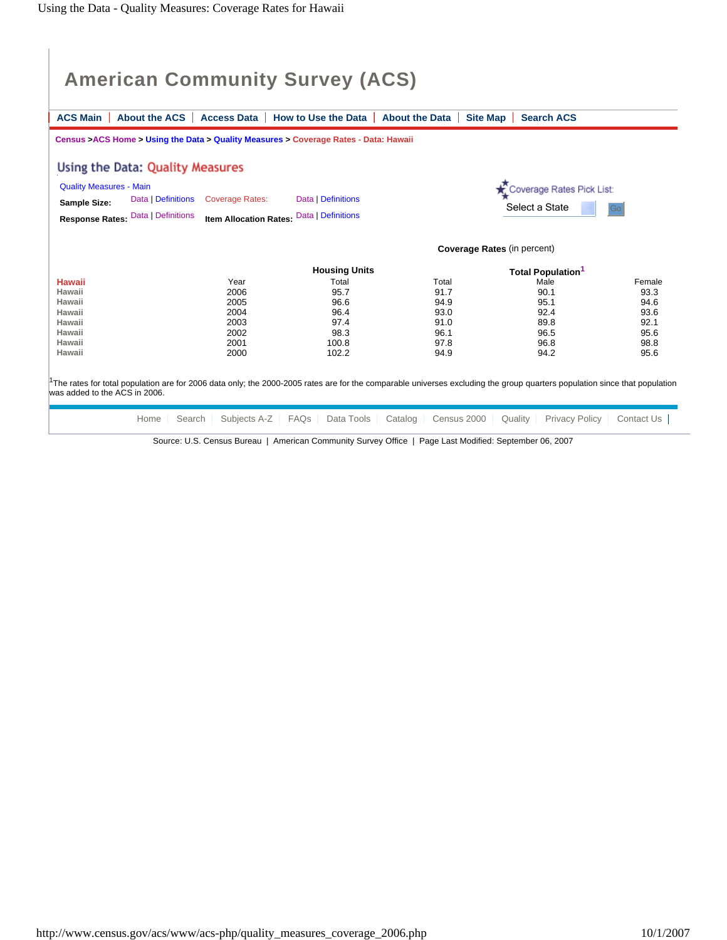|                                                                           | <b>About the ACS</b><br><b>Access Data</b>                                           | How to Use the Data           | <b>About the Data</b> | <b>Site Map</b><br><b>Search ACS</b>        |              |
|---------------------------------------------------------------------------|--------------------------------------------------------------------------------------|-------------------------------|-----------------------|---------------------------------------------|--------------|
|                                                                           | Census >ACS Home > Using the Data > Quality Measures > Coverage Rates - Data: Hawaii |                               |                       |                                             |              |
| Using the Data: Quality Measures                                          |                                                                                      |                               |                       |                                             |              |
| <b>Quality Measures - Main</b>                                            |                                                                                      |                               |                       | Coverage Rates Pick List:                   |              |
| Sample Size:                                                              | Data   Definitions<br><b>Coverage Rates:</b>                                         | Data   Definitions            |                       |                                             |              |
| <b>Response Rates: Data   Definitions</b>                                 | <b>Item Allocation Rates:</b>                                                        | Data   Definitions            |                       | Select a State                              | Go           |
|                                                                           |                                                                                      |                               |                       |                                             |              |
|                                                                           |                                                                                      |                               |                       | Coverage Rates (in percent)                 |              |
|                                                                           |                                                                                      |                               |                       |                                             |              |
|                                                                           |                                                                                      |                               |                       |                                             |              |
|                                                                           | Year                                                                                 | <b>Housing Units</b><br>Total | Total                 | <b>Total Population<sup>1</sup></b><br>Male | Female       |
|                                                                           | 2006                                                                                 | 95.7                          | 91.7                  | 90.1                                        | 93.3         |
|                                                                           | 2005                                                                                 | 96.6                          | 94.9                  | 95.1                                        |              |
|                                                                           | 2004                                                                                 | 96.4                          | 93.0                  | 92.4                                        | 94.6<br>93.6 |
|                                                                           | 2003                                                                                 | 97.4                          | 91.0                  | 89.8                                        | 92.1         |
| <b>Hawaii</b><br>Hawaii<br>Hawaii<br>Hawaii<br>Hawaii<br>Hawaii<br>Hawaii | 2002<br>2001                                                                         | 98.3<br>100.8                 | 96.1<br>97.8          | 96.5<br>96.8                                | 95.6<br>98.8 |

Source: U.S. Census Bureau | American Community Survey Office | Page Last Modified: September 06, 2007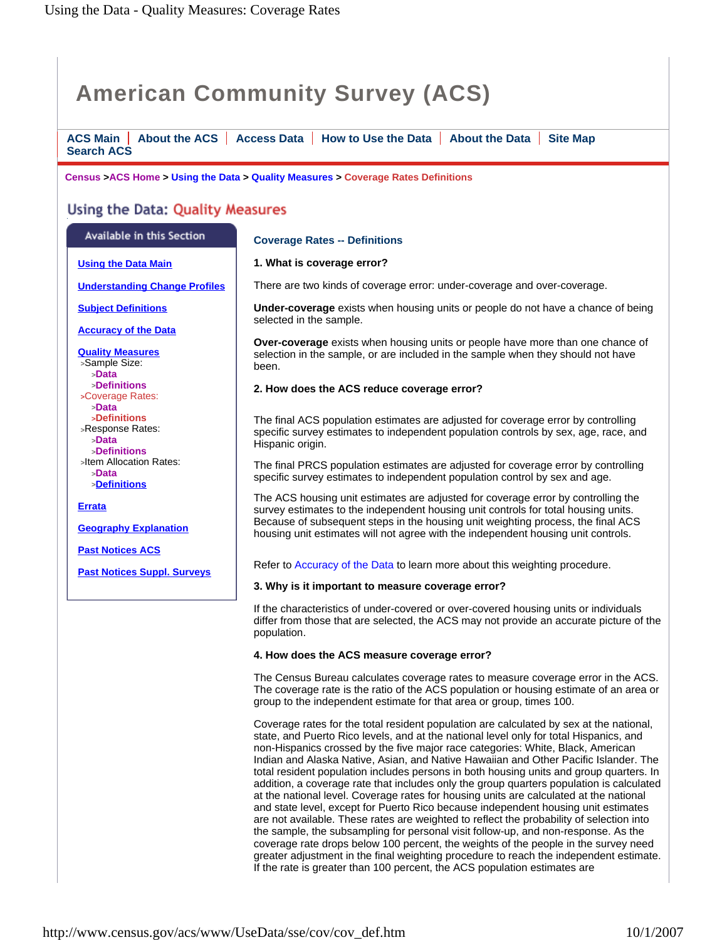